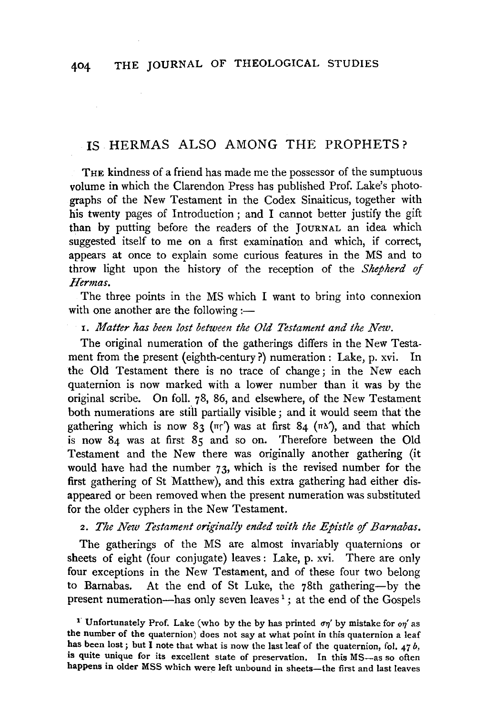# IS HERMAS ALSO AMONG THE PROPHETS?

THE kindness of a friend has made me the possessor of the sumptuous volume in which the Clarendon Press has published Prof. Lake's photographs of the New Testament in the Codex Sinaiticus, together with his twenty pages of Introduction ; and I cannot better justify the gift than by putting before the readers of the JoURNAL an idea which suggested itself to me on a first examination and which, if correct, appears at once to explain some curious features in the MS and to throw light upon the history of the reception of the *Shepherd of Hermas.* 

The three points in the MS which I want to bring into connexion with one another are the following :-

### I. *Matter has been lost between the Old Testament and the New.*

The original numeration of the gatherings differs in the New Testament from the present (eighth-century?) numeration: Lake, p. xvi. In the Old Testament there is no trace of change; in the New each quaternion is now marked with a lower number than it was by the original scribe. On fall. 78, 86, and elsewhere, of the New Testament both numerations are still partially visible; and it would seem that the gathering which is now 83 ( $\pi r$ ) was at first 84 ( $\pi \Delta$ ), and that which is now  $84$  was at first  $85$  and so on. Therefore between the Old Testament and the New there was originally another gathering (it would have had the number 73, which is the revised number for the first gathering of St Matthew), and this extra gathering had either disappeared or been removed when the present numeration was substituted for the older cyphers in the New Testament.

#### 2. The New Testament originally ended with the Epistle of Barnabas.

The gatherings of the MS are almost invariably quaternions or sheets of eight (four conjugate) leaves: Lake, p. xvi. There are only four exceptions in the New Testament, and of these four two belong to Barnabas. At the end of St Luke, the 78th gathering-by the present numeration—has only seven leaves<sup> $1$ </sup>; at the end of the Gospels

<sup>&</sup>lt;sup>1</sup> Unfortunately Prof. Lake (who by the by has printed  $\sigma\eta'$  by mistake for  $\sigma\eta'$  as the number of the quaternion) does not say at what point in this quaternion a leaf has been lost; but I note that what is now the last leaf of the quaternion, fol. 47 *b,*  is quite unique for its excellent state of preservation. In this MS-as so often happens in older MSS which were left unbound in sheets-the first and last leaves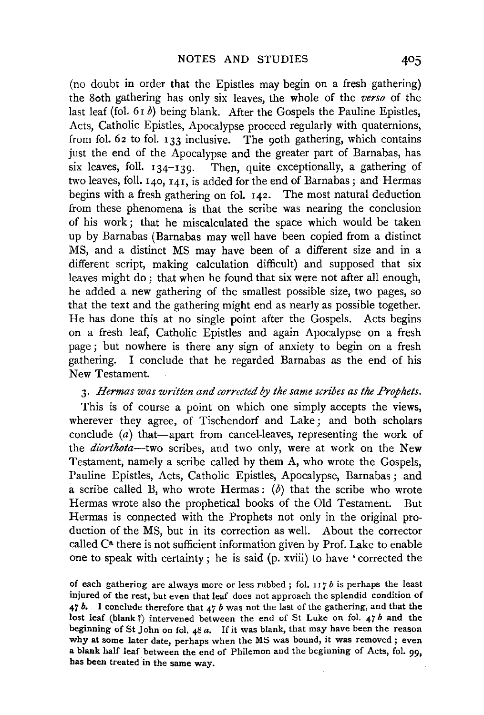(no doubt in order that the Epistles may begin on a fresh gathering} the 8oth gathering has only six leaves, the whole of the *verso* of the last leaf (fol.  $6r \theta$ ) being blank. After the Gospels the Pauline Epistles, Acts, Catholic Epistles, Apocalypse proceed regularly with quaternions, from fol. 62 to fol. 133 inclusive. The 9oth gathering, which contains just the end of the Apocalypse and the greater part of Barnabas, has six leaves, foll.  $134-139$ . Then, quite exceptionally, a gathering of two leaves, foll. 140, 141, is added for the end of Barnabas; and Hermas begins with a fresh gathering on fol. 142. The most natural deduction from these phenomena is that the scribe was nearing the conclusion of his work; that he miscalculated the space which would be taken up by Barnabas (Barnabas may well have been copied from a distinct MS, and a distinct MS may have been of a different size and in a different script, making calculation difficult) and supposed that six leaves might do; that when he found that six were not after all enough, he added a new gathering of the smallest possible size, two pages, so that the text and the gathering might end as nearly as possible together. He has done this at no single point after the Gospels. Acts begins on a fresh leaf, Catholic Epistles and again Apocalypse on a fresh page ; but nowhere is there any sign of anxiety to begin on a fresh gathering. I conclude that he regarded Barnabas as the end of his New Testament.

## 3. Hermas was written and corrected by the same scribes as the Prophets.

This is of course a point on which one simply accepts the views, wherever they agree, of Tischendorf and Lake; and both scholars conclude  $(a)$  that—apart from cancel-leaves, representing the work of the *dtorthota-two* scribes, and two only, were at work on the New Testament, namely a scribe called by them A, who wrote the Gospels, Pauline Epistles, Acts, Catholic Epistles, Apocalypse, Barnabas; and a scribe called B, who wrote Hermas:  $(b)$  that the scribe who wrote Hermas wrote also the prophetical books of the Old Testament. But Hermas is conpected with the Prophets not only in the original production of the MS, but in its correction as well. About the corrector called  $C^a$  there is not sufficient information given by Prof. Lake to enable one to speak with certainty; he is said (p. xviii) to have 'corrected the

of each gathering are always more or less rubbed ; fol. II7 *b* is perhaps the least injured of the rest, but even that leaf does not approach the splendid condition of 47 *b.* I conclude therefore that 47 *b* was not the last of the gathering, and that the lost leaf (blank?) intervened between the end of St Luke on fol. 47 *b* and the beginning of St John on fol. 48 *a.* If it was blank, that may have been the reason why at some later date, perhaps when the MS was bound, it was removed ; even a blank half leaf between the end of Philemon and the beginning of Acts, fol. 99, has been treated in the same way.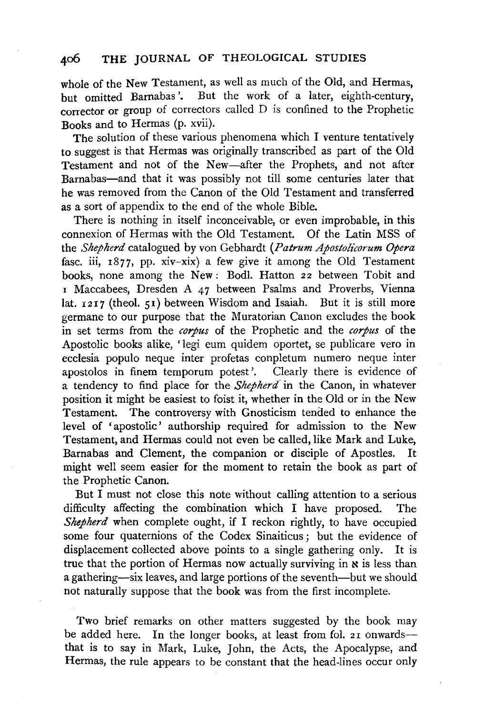### **400 THE** JOURNAL OF THEOLOGICAL STUDIES

whole of the New Testament, as well as much of the Old, and Hermas, but omitted Barnabas '. But the work of a later, eighth-century, corrector or group of correctors called D is confined to the Prophetic Books and to Hermas (p. xvii).

The solution of these various phenomena which I venture tentatively to suggest is that Hermas was originally transcribed as part of the Old Testament and not of the New-after the Prophets, and not after Barnabas-and that it was possibly not till some centuries later that he was removed from the Canon of the Old Testament and transferred as a sort of appendix to the end of the whole Bible.

There is nothing in itself inconceivable, or even improbable, in this connexion of Hermas with the Old Testament. Of the Latin MSS of the *Shepherd* catalogued by von Gebhardt (Patrum Apostolicorum Opera fasc. iii, 1877, pp. xiv-xix) a few give it among the Old Testament books, none among the New: Bodl. Hatton 22 between Tobit and <sup>1</sup>Maccabees, Dresden A 47 between Psalms and Proverbs, Vienna lat.  $1217$  (theol.  $51$ ) between Wisdom and Isaiah. But it is still more germane to our purpose that the Muratorian Canon excludes the book in set terms from the *corpus* of the Prophetic and the *corpus* of the Apostolic books alike, 'legi eum quidem oportet, se publicare vero in ecclesia populo neque inter profetas conpletum numero neque inter apostolos in finem temporum potest'. Clearly there is evidence of a tendency to find place for the *Shepherd* in the Canon, in whatever position it might be easiest to foist it, whether in the Old or in the New Testament. The controversy with Gnosticism tended to enhance the level of 'apostolic' authorship required for admission to the New Testament, and Hermas could not even be called, like Mark and Luke, Barnabas and Clement, the companion or disciple of Apostles. It might well seem easier for the moment to retain the book as part of the Prophetic Canon.

But I must not close this note without calling attention to a serious difficulty affecting the combination which I have proposed. *Shepherd* when complete ought, if I reckon rightly, to have occupied some four quaternions of the Codex Sinaiticus ; but the evidence of displacement collected above points to a single gathering only. It is true that the portion of Hermas now actually surviving in  $\kappa$  is less than a gathering-six leaves, and large portions of the seventh-but we should not naturally suppose that the book was from the first incomplete.

Two brief remarks on other matters suggested by the book may be added here. In the longer books, at least from fol. 21 onwardsthat is to say in Mark, Luke, John, the Acts, the Apocalypse, and Hermas, the rule appears to be constant that the head-lines occur only